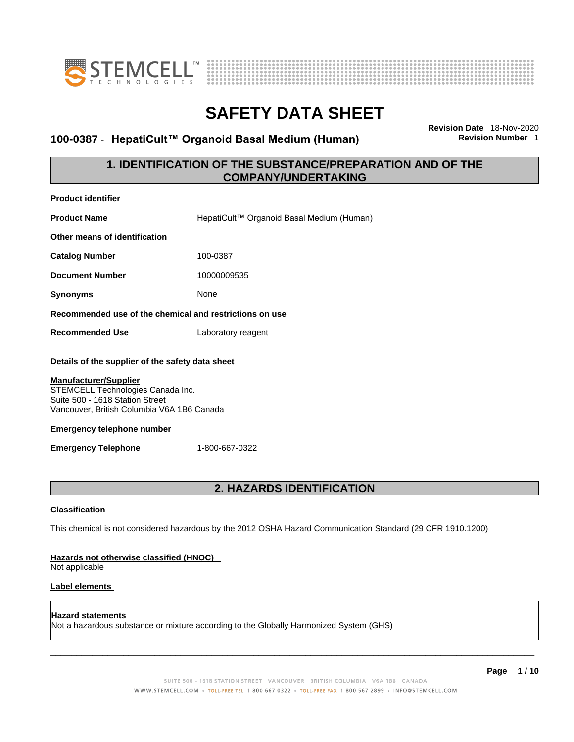



### **100-0387 · HepatiCult™ Organoid Basal Medium (Human)**

**Revision Date** 18-Nov-2020

### **1. IDENTIFICATION OF THE SUBSTANCE/PREPARATION AND OF THE COMPANY/UNDERTAKING**

| <b>Product identifier</b>                                                                                                                                                                                                                                                                   |                                                                                                             |  |
|---------------------------------------------------------------------------------------------------------------------------------------------------------------------------------------------------------------------------------------------------------------------------------------------|-------------------------------------------------------------------------------------------------------------|--|
| <b>Product Name</b>                                                                                                                                                                                                                                                                         | HepatiCult™ Organoid Basal Medium (Human)                                                                   |  |
| Other means of identification                                                                                                                                                                                                                                                               |                                                                                                             |  |
| <b>Catalog Number</b>                                                                                                                                                                                                                                                                       | 100-0387                                                                                                    |  |
| <b>Document Number</b>                                                                                                                                                                                                                                                                      | 10000009535                                                                                                 |  |
| <b>Synonyms</b>                                                                                                                                                                                                                                                                             | None                                                                                                        |  |
| Recommended use of the chemical and restrictions on use                                                                                                                                                                                                                                     |                                                                                                             |  |
| <b>Recommended Use</b>                                                                                                                                                                                                                                                                      | Laboratory reagent                                                                                          |  |
| Details of the supplier of the safety data sheet<br><b>Manufacturer/Supplier</b><br>STEMCELL Technologies Canada Inc.<br>Suite 500 - 1618 Station Street<br>Vancouver, British Columbia V6A 1B6 Canada<br><b>Emergency telephone number</b><br>1-800-667-0322<br><b>Emergency Telephone</b> |                                                                                                             |  |
| 2. HAZARDS IDENTIFICATION                                                                                                                                                                                                                                                                   |                                                                                                             |  |
| <b>Classification</b>                                                                                                                                                                                                                                                                       |                                                                                                             |  |
|                                                                                                                                                                                                                                                                                             | This chemical is not considered hazardous by the 2012 OSHA Hazard Communication Standard (29 CFR 1910.1200) |  |
| Hazards not otherwise classified (HNOC)<br>Not applicable                                                                                                                                                                                                                                   |                                                                                                             |  |

#### **Label elements**

**Hazard statements**  Not a hazardous substance or mixture according to the Globally Harmonized System (GHS)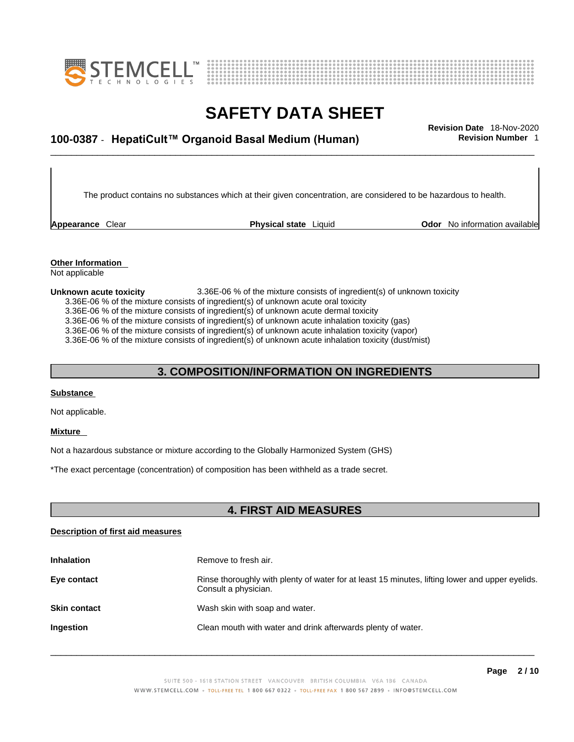



# \_\_\_\_\_\_\_\_\_\_\_\_\_\_\_\_\_\_\_\_\_\_\_\_\_\_\_\_\_\_\_\_\_\_\_\_\_\_\_\_\_\_\_\_\_\_\_\_\_\_\_\_\_\_\_\_\_\_\_\_\_\_\_\_\_\_\_\_\_\_\_\_\_\_\_\_\_\_\_\_\_\_\_\_\_\_\_\_\_\_\_\_\_ **Revision Date** 18-Nov-2020 **100-0387** - **HepatiCult™ Organoid Basal Medium (Human) Revision Number** 1

The product contains no substances which at their given concentration, are considered to be hazardous to health.

**Appearance** Clear **Physical state** Liquid

**Odor** No information available

**Other Information**  Not applicable

**Unknown acute toxicity** 3.36E-06 % of the mixtureconsists of ingredient(s) of unknown toxicity

3.36E-06 % of the mixture consists of ingredient(s) of unknown acute oral toxicity

 $3.36E-06$  % of the mixture consists of ingredient(s) of unknown acute dermal toxicity

3.36E-06 % of the mixture consists of ingredient(s) of unknown acute inhalation toxicity (gas)

3.36E-06 % of the mixture consists of ingredient(s) of unknown acute inhalation toxicity (vapor)

3.36E-06 % of the mixture consists of ingredient(s) of unknown acute inhalation toxicity (dust/mist)

#### **3. COMPOSITION/INFORMATION ON INGREDIENTS**

#### **Substance**

Not applicable.

#### **Mixture**

Not a hazardous substance or mixture according to the Globally Harmonized System (GHS)

\*The exact percentage (concentration) of composition has been withheld as a trade secret.

#### **4. FIRST AID MEASURES**

#### **Description of first aid measures**

| <b>Inhalation</b>   | Remove to fresh air.                                                                                                    |
|---------------------|-------------------------------------------------------------------------------------------------------------------------|
| Eye contact         | Rinse thoroughly with plenty of water for at least 15 minutes, lifting lower and upper eyelids.<br>Consult a physician. |
| <b>Skin contact</b> | Wash skin with soap and water.                                                                                          |
| <b>Ingestion</b>    | Clean mouth with water and drink afterwards plenty of water.                                                            |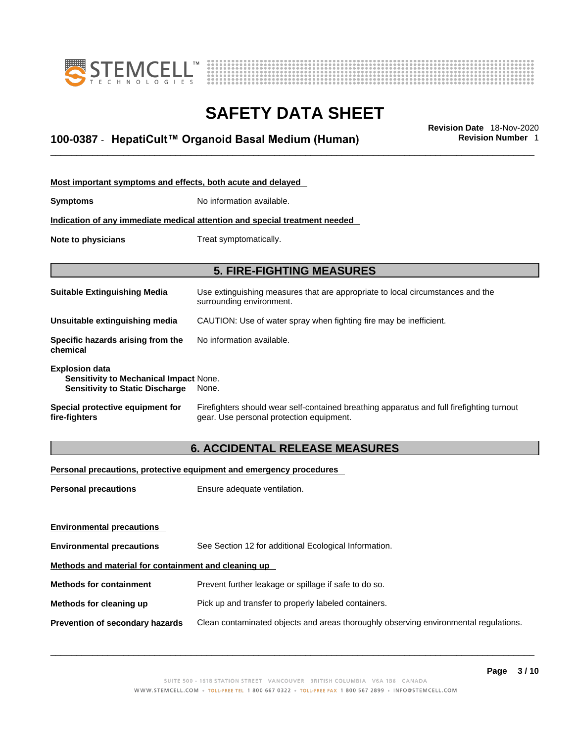



# \_\_\_\_\_\_\_\_\_\_\_\_\_\_\_\_\_\_\_\_\_\_\_\_\_\_\_\_\_\_\_\_\_\_\_\_\_\_\_\_\_\_\_\_\_\_\_\_\_\_\_\_\_\_\_\_\_\_\_\_\_\_\_\_\_\_\_\_\_\_\_\_\_\_\_\_\_\_\_\_\_\_\_\_\_\_\_\_\_\_\_\_\_ **Revision Date** 18-Nov-2020 **100-0387** - **HepatiCult™ Organoid Basal Medium (Human) Revision Number** 1

| Most important symptoms and effects, both acute and delayed                                                      |                                                                                                                                       |
|------------------------------------------------------------------------------------------------------------------|---------------------------------------------------------------------------------------------------------------------------------------|
| <b>Symptoms</b>                                                                                                  | No information available.                                                                                                             |
|                                                                                                                  | Indication of any immediate medical attention and special treatment needed                                                            |
| Note to physicians                                                                                               | Treat symptomatically.                                                                                                                |
|                                                                                                                  | <b>5. FIRE-FIGHTING MEASURES</b>                                                                                                      |
| <b>Suitable Extinguishing Media</b>                                                                              | Use extinguishing measures that are appropriate to local circumstances and the<br>surrounding environment.                            |
| Unsuitable extinguishing media                                                                                   | CAUTION: Use of water spray when fighting fire may be inefficient.                                                                    |
| Specific hazards arising from the<br>chemical                                                                    | No information available.                                                                                                             |
| <b>Explosion data</b><br><b>Sensitivity to Mechanical Impact None.</b><br><b>Sensitivity to Static Discharge</b> | None.                                                                                                                                 |
| Special protective equipment for<br>fire-fighters                                                                | Firefighters should wear self-contained breathing apparatus and full firefighting turnout<br>gear. Use personal protection equipment. |

### **6. ACCIDENTAL RELEASE MEASURES**

#### **Personal precautions, protective equipment and emergency procedures**

| Ensure adequate ventilation.                                                         |  |  |
|--------------------------------------------------------------------------------------|--|--|
|                                                                                      |  |  |
|                                                                                      |  |  |
| See Section 12 for additional Ecological Information.                                |  |  |
| Methods and material for containment and cleaning up                                 |  |  |
| Prevent further leakage or spillage if safe to do so.                                |  |  |
| Pick up and transfer to properly labeled containers.                                 |  |  |
| Clean contaminated objects and areas thoroughly observing environmental regulations. |  |  |
|                                                                                      |  |  |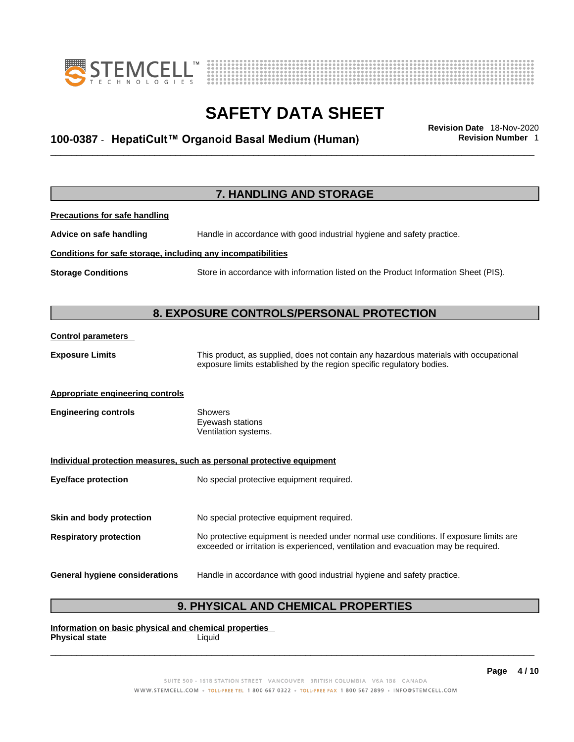



# \_\_\_\_\_\_\_\_\_\_\_\_\_\_\_\_\_\_\_\_\_\_\_\_\_\_\_\_\_\_\_\_\_\_\_\_\_\_\_\_\_\_\_\_\_\_\_\_\_\_\_\_\_\_\_\_\_\_\_\_\_\_\_\_\_\_\_\_\_\_\_\_\_\_\_\_\_\_\_\_\_\_\_\_\_\_\_\_\_\_\_\_\_ **Revision Date** 18-Nov-2020 **100-0387** - **HepatiCult™ Organoid Basal Medium (Human) Revision Number** 1

|                                                              | 7. HANDLING AND STORAGE                                                                                                                                                     |
|--------------------------------------------------------------|-----------------------------------------------------------------------------------------------------------------------------------------------------------------------------|
| <b>Precautions for safe handling</b>                         |                                                                                                                                                                             |
| Advice on safe handling                                      | Handle in accordance with good industrial hygiene and safety practice.                                                                                                      |
| Conditions for safe storage, including any incompatibilities |                                                                                                                                                                             |
| <b>Storage Conditions</b>                                    | Store in accordance with information listed on the Product Information Sheet (PIS).                                                                                         |
|                                                              | 8. EXPOSURE CONTROLS/PERSONAL PROTECTION                                                                                                                                    |
| <b>Control parameters</b>                                    |                                                                                                                                                                             |
| <b>Exposure Limits</b>                                       | This product, as supplied, does not contain any hazardous materials with occupational<br>exposure limits established by the region specific regulatory bodies.              |
| <b>Appropriate engineering controls</b>                      |                                                                                                                                                                             |
| <b>Engineering controls</b>                                  | <b>Showers</b><br>Eyewash stations<br>Ventilation systems.                                                                                                                  |
|                                                              | Individual protection measures, such as personal protective equipment                                                                                                       |
| <b>Eye/face protection</b>                                   | No special protective equipment required.                                                                                                                                   |
| Skin and body protection                                     | No special protective equipment required.                                                                                                                                   |
| <b>Respiratory protection</b>                                | No protective equipment is needed under normal use conditions. If exposure limits are<br>exceeded or irritation is experienced, ventilation and evacuation may be required. |
| <b>General hygiene considerations</b>                        | Handle in accordance with good industrial hygiene and safety practice.                                                                                                      |

### **9. PHYSICAL AND CHEMICAL PROPERTIES**

**Information on basic physical and chemical properties Physical state** Liquid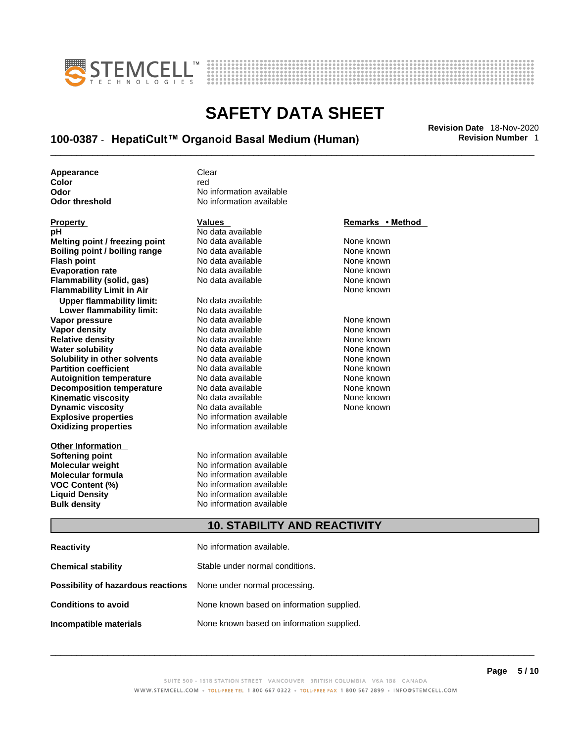



# \_\_\_\_\_\_\_\_\_\_\_\_\_\_\_\_\_\_\_\_\_\_\_\_\_\_\_\_\_\_\_\_\_\_\_\_\_\_\_\_\_\_\_\_\_\_\_\_\_\_\_\_\_\_\_\_\_\_\_\_\_\_\_\_\_\_\_\_\_\_\_\_\_\_\_\_\_\_\_\_\_\_\_\_\_\_\_\_\_\_\_\_\_ **Revision Date** 18-Nov-2020 **100-0387** - **HepatiCult™ Organoid Basal Medium (Human) Revision Number** 1

**Appearance** Clear<br> **Color** 

**Explosive properties**<br> **Calculation available**<br> **Oxidizing properties**<br>
No information available **Oxidizing properties Property CONSCRUTE ACCORDING METHOD Values and METHOD Remarks • Method pH** No data available<br> **No data available**<br>
No data available **Flash point** No data available **Upper flammability limit:** No data available **Lower flammability limit:** No data available **Relative density Decomposition temperature** No data available<br>**Kinematic viscosity** No data available

**Other Information** 

**Color** red **Odor No information available**<br> **Odor threshold No information available No information available** 

### **Melting point / freezing point** No data available None known<br> **Rojling point / bojling range** No data available None known **Boiling point / boiling range** No data available None known<br> **Flash point** None known<br>
No data available None Known None known **Evaporation rate Cone Cone Access Mone Cone Cone Cone Access Provident Cone Cone Access Provident Cone known<br>
<b>Flammability (solid. gas)** No data available Cone Cone Known **Flammability (solid, gas)** No data available None known **Flammability Limit in Air None known None known Vapor pressure** 1980 in the Modata available 1980 in the Known None known<br> **Vapor density** 1980 in the None Known None known None known **Vapor density** No data available None known **Water solubility** No data available None known **Solubility in other solvents** No data available None known **Partition coefficient**<br> **Autoignition temperature**<br>
No data available None None known<br>
None known **Autoignition temperature** Mo data available Mone known<br> **Decomposition temperature** No data available None Known **Kinematic viscosity No data available None known**<br> **Discussible No data available None known**<br>
None known **Dynamic viscosity No data available None known**

**Softening point**<br> **Molecular weight**<br> **Molecular weight**<br> **Molecular weight**<br> **Molecular weight No information available Molecular formula** No information available **VOC Content (%)**<br> **Content (%)**<br>
No information available<br>
No information available **No information available Bulk density No information available** 

#### **10. STABILITY AND REACTIVITY**

| <b>Reactivity</b>                                                       | No information available.                 |
|-------------------------------------------------------------------------|-------------------------------------------|
| <b>Chemical stability</b>                                               | Stable under normal conditions.           |
| <b>Possibility of hazardous reactions</b> None under normal processing. |                                           |
| <b>Conditions to avoid</b>                                              | None known based on information supplied. |
| Incompatible materials                                                  | None known based on information supplied. |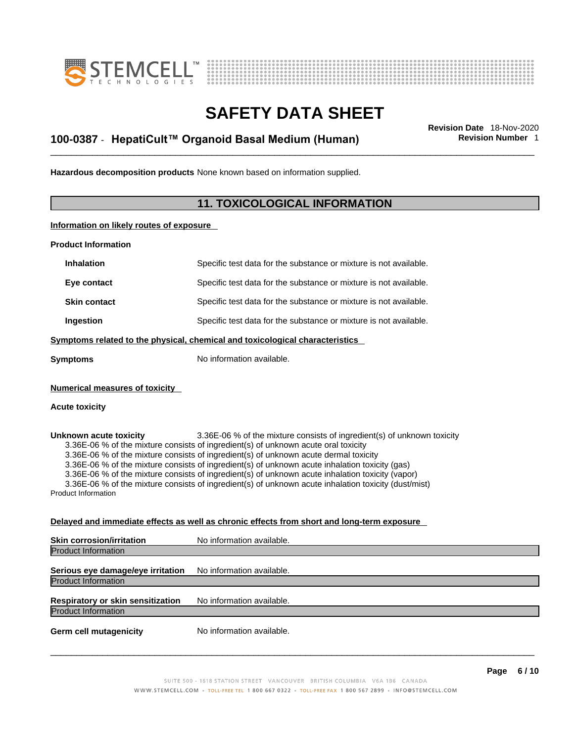



# \_\_\_\_\_\_\_\_\_\_\_\_\_\_\_\_\_\_\_\_\_\_\_\_\_\_\_\_\_\_\_\_\_\_\_\_\_\_\_\_\_\_\_\_\_\_\_\_\_\_\_\_\_\_\_\_\_\_\_\_\_\_\_\_\_\_\_\_\_\_\_\_\_\_\_\_\_\_\_\_\_\_\_\_\_\_\_\_\_\_\_\_\_ **Revision Date** 18-Nov-2020 **100-0387** - **HepatiCult™ Organoid Basal Medium (Human) Revision Number** 1

**Hazardous decomposition products** None known based on information supplied.

#### **11. TOXICOLOGICAL INFORMATION**

**Information on likely routes of exposure**

**Product Information**

| <b>Numerical measures of toxicity</b> |                                                                              |
|---------------------------------------|------------------------------------------------------------------------------|
| <b>Symptoms</b>                       | No information available.                                                    |
|                                       | Symptoms related to the physical, chemical and toxicological characteristics |
| Ingestion                             | Specific test data for the substance or mixture is not available.            |
| <b>Skin contact</b>                   | Specific test data for the substance or mixture is not available.            |
| Eye contact                           | Specific test data for the substance or mixture is not available.            |
| <b>Inhalation</b>                     | Specific test data for the substance or mixture is not available.            |
|                                       |                                                                              |

**Unknown acute toxicity** 3.36E-06 % of the mixtureconsists of ingredient(s) of unknown toxicity 3.36E-06 % of the mixture consists of ingredient(s) of unknown acute oral toxicity 3.36E-06 % of the mixture consists of ingredient(s) of unknown acute dermal toxicity 3.36E-06 % of the mixture consists of ingredient(s) of unknown acute inhalation toxicity (gas) 3.36E-06 % of the mixture consists of ingredient(s) of unknown acute inhalation toxicity (vapor) 3.36E-06 % of the mixture consists of ingredient(s) of unknown acute inhalation toxicity (dust/mist) Product Information

#### **Delayed and immediate effects as well as chronic effects from short and long-term exposure**

| <b>Skin corrosion/irritation</b>                                | No information available. |
|-----------------------------------------------------------------|---------------------------|
| <b>Product Information</b>                                      |                           |
| Serious eye damage/eye irritation<br><b>Product Information</b> | No information available. |
| Respiratory or skin sensitization<br><b>Product Information</b> | No information available. |
| <b>Germ cell mutagenicity</b>                                   | No information available. |
|                                                                 |                           |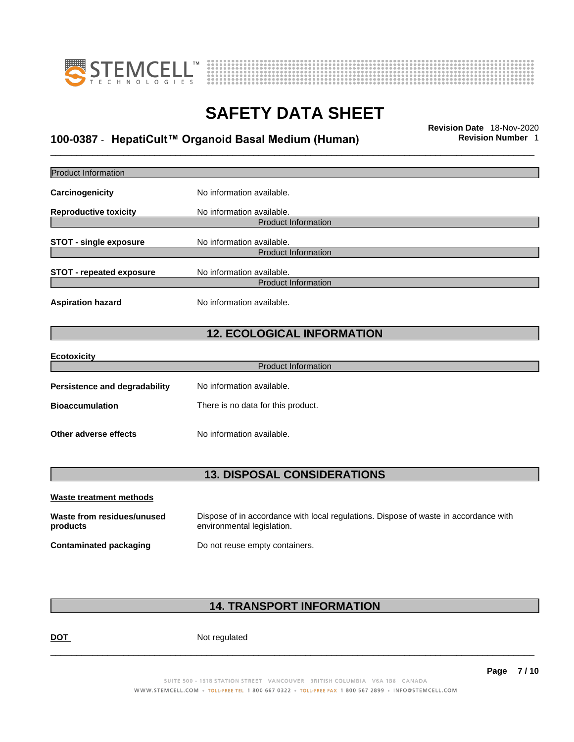



# \_\_\_\_\_\_\_\_\_\_\_\_\_\_\_\_\_\_\_\_\_\_\_\_\_\_\_\_\_\_\_\_\_\_\_\_\_\_\_\_\_\_\_\_\_\_\_\_\_\_\_\_\_\_\_\_\_\_\_\_\_\_\_\_\_\_\_\_\_\_\_\_\_\_\_\_\_\_\_\_\_\_\_\_\_\_\_\_\_\_\_\_\_ **Revision Date** 18-Nov-2020 **100-0387** - **HepatiCult™ Organoid Basal Medium (Human) Revision Number** 1

| <b>Product Information</b>             |                                                                                                                    |  |
|----------------------------------------|--------------------------------------------------------------------------------------------------------------------|--|
| Carcinogenicity                        | No information available.                                                                                          |  |
| <b>Reproductive toxicity</b>           | No information available.<br><b>Product Information</b>                                                            |  |
| <b>STOT - single exposure</b>          | No information available.<br><b>Product Information</b>                                                            |  |
| <b>STOT - repeated exposure</b>        | No information available.<br><b>Product Information</b>                                                            |  |
| <b>Aspiration hazard</b>               | No information available.                                                                                          |  |
|                                        | <b>12. ECOLOGICAL INFORMATION</b>                                                                                  |  |
| <b>Ecotoxicity</b>                     | <b>Product Information</b>                                                                                         |  |
|                                        |                                                                                                                    |  |
| <b>Persistence and degradability</b>   | No information available.                                                                                          |  |
| <b>Bioaccumulation</b>                 | There is no data for this product.                                                                                 |  |
| Other adverse effects                  | No information available.                                                                                          |  |
| <b>13. DISPOSAL CONSIDERATIONS</b>     |                                                                                                                    |  |
| <b>Waste treatment methods</b>         |                                                                                                                    |  |
| Waste from residues/unused<br>products | Dispose of in accordance with local regulations. Dispose of waste in accordance with<br>environmental legislation. |  |
| <b>Contaminated packaging</b>          | Do not reuse empty containers.                                                                                     |  |
|                                        |                                                                                                                    |  |

### **14. TRANSPORT INFORMATION**

DOT Not regulated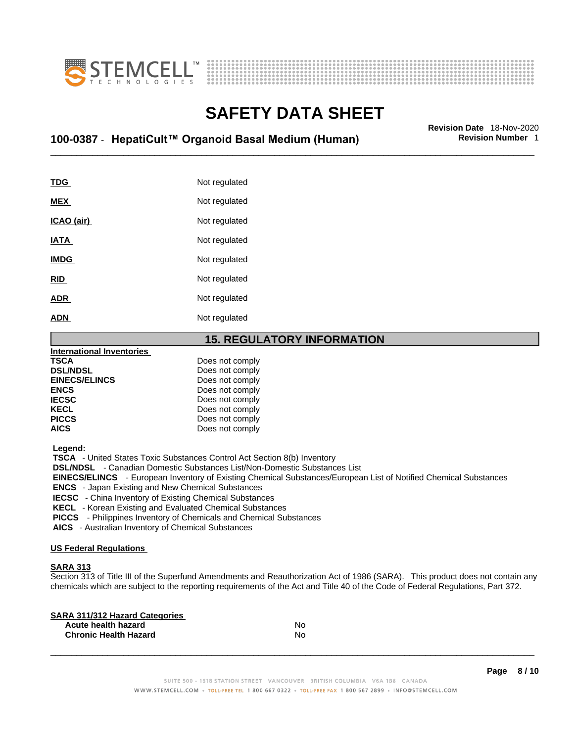



# \_\_\_\_\_\_\_\_\_\_\_\_\_\_\_\_\_\_\_\_\_\_\_\_\_\_\_\_\_\_\_\_\_\_\_\_\_\_\_\_\_\_\_\_\_\_\_\_\_\_\_\_\_\_\_\_\_\_\_\_\_\_\_\_\_\_\_\_\_\_\_\_\_\_\_\_\_\_\_\_\_\_\_\_\_\_\_\_\_\_\_\_\_ **Revision Date** 18-Nov-2020 **100-0387** - **HepatiCult™ Organoid Basal Medium (Human) Revision Number** 1

| <b>TDG</b>  | Not regulated |
|-------------|---------------|
| <b>MEX</b>  | Not regulated |
| ICAO (air)  | Not regulated |
| <b>IATA</b> | Not regulated |
| <b>IMDG</b> | Not regulated |
| <b>RID</b>  | Not regulated |
| <b>ADR</b>  | Not regulated |
| <b>ADN</b>  | Not regulated |

#### **15. REGULATORY INFORMATION**

| <b>International Inventories</b> |                 |  |
|----------------------------------|-----------------|--|
| <b>TSCA</b>                      | Does not comply |  |
| <b>DSL/NDSL</b>                  | Does not comply |  |
| <b>EINECS/ELINCS</b>             | Does not comply |  |
| <b>ENCS</b>                      | Does not comply |  |
| <b>IECSC</b>                     | Does not comply |  |
| <b>KECL</b>                      | Does not comply |  |
| <b>PICCS</b>                     | Does not comply |  |
| <b>AICS</b>                      | Does not comply |  |
|                                  |                 |  |

 **Legend:** 

 **TSCA** - United States Toxic Substances Control Act Section 8(b) Inventory

 **DSL/NDSL** - Canadian Domestic Substances List/Non-Domestic Substances List

 **EINECS/ELINCS** - European Inventory of Existing Chemical Substances/European List of Notified Chemical Substances

 **ENCS** - Japan Existing and New Chemical Substances

 **IECSC** - China Inventory of Existing Chemical Substances

 **KECL** - Korean Existing and Evaluated Chemical Substances

 **PICCS** - Philippines Inventory of Chemicals and Chemical Substances

 **AICS** - Australian Inventory of Chemical Substances

#### **US Federal Regulations**

#### **SARA 313**

Section 313 of Title III of the Superfund Amendments and Reauthorization Act of 1986 (SARA). This product does not contain any chemicals which are subject to the reporting requirements of the Act and Title 40 of the Code of Federal Regulations, Part 372.

| No |  |
|----|--|
| No |  |
|    |  |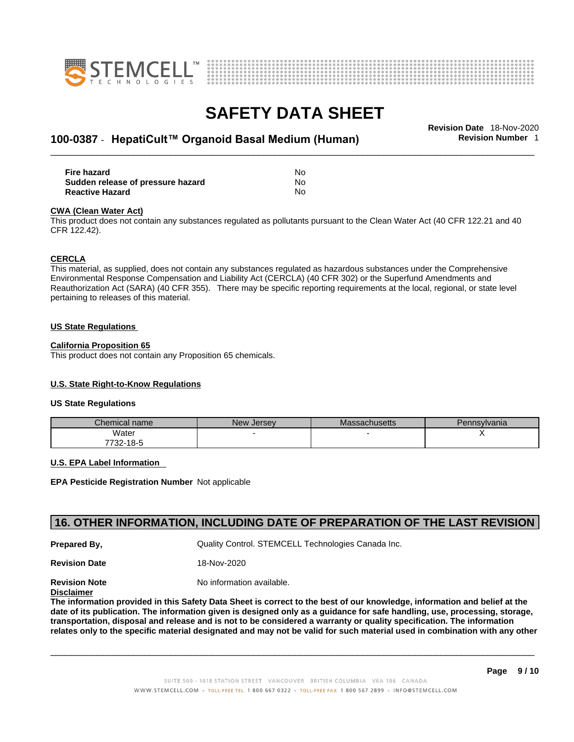



# \_\_\_\_\_\_\_\_\_\_\_\_\_\_\_\_\_\_\_\_\_\_\_\_\_\_\_\_\_\_\_\_\_\_\_\_\_\_\_\_\_\_\_\_\_\_\_\_\_\_\_\_\_\_\_\_\_\_\_\_\_\_\_\_\_\_\_\_\_\_\_\_\_\_\_\_\_\_\_\_\_\_\_\_\_\_\_\_\_\_\_\_\_ **Revision Date** 18-Nov-2020 **100-0387** - **HepatiCult™ Organoid Basal Medium (Human) Revision Number** 1

| Fire hazard                       | No |
|-----------------------------------|----|
| Sudden release of pressure hazard | No |
| <b>Reactive Hazard</b>            | No |

#### **CWA** (Clean Water Act)

This product does not contain any substances regulated as pollutants pursuant to the Clean Water Act (40 CFR 122.21 and 40 CFR 122.42).

#### **CERCLA**

This material, as supplied, does not contain any substances regulated as hazardous substances under the Comprehensive Environmental Response Compensation and Liability Act (CERCLA) (40 CFR 302) or the Superfund Amendments and Reauthorization Act (SARA) (40 CFR 355). There may be specific reporting requirements at the local, regional, or state level pertaining to releases of this material.

#### **US State Regulations**

#### **California Proposition 65**

This product does not contain any Proposition 65 chemicals.

#### **U.S. State Right-to-Know Regulations**

#### **US State Regulations**

| Chemical name | <b>New Jersey</b> | <b>Massachusetts</b> | Pennsylvania |
|---------------|-------------------|----------------------|--------------|
| Water         |                   |                      |              |
| 7732-18-5     |                   |                      |              |

#### **U.S. EPA Label Information**

**EPA Pesticide Registration Number** Not applicable

#### **16. OTHER INFORMATION, INCLUDING DATE OF PREPARATION OF THE LAST REVISION**

**Prepared By, State Control. STEMCELL Technologies Canada Inc.** Cuality Control. STEMCELL Technologies Canada Inc.

**Revision Date** 18-Nov-2020

**Revision Note** Noinformation available.

#### **Disclaimer**

The information provided in this Safety Data Sheet is correct to the best of our knowledge, information and belief at the date of its publication. The information given is designed only as a guidance for safe handling, use, processing, storage, transportation, disposal and release and is not to be considered a warranty or quality specification. The information relates only to the specific material designated and may not be valid for such material used in combination with any other